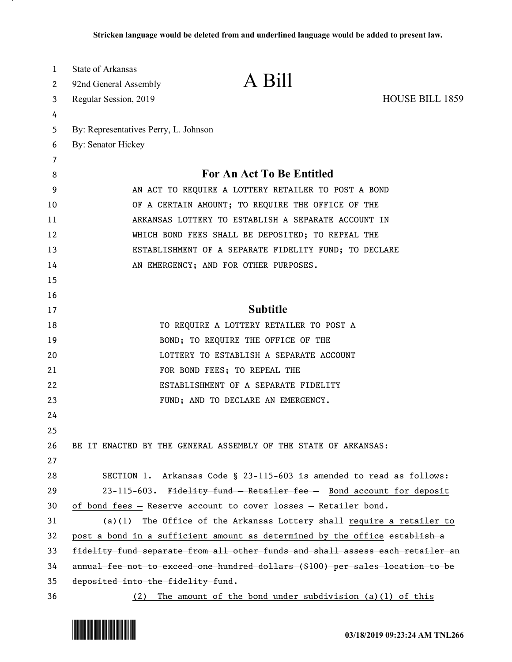| 1  | <b>State of Arkansas</b>                                                      |                                                                               |                        |
|----|-------------------------------------------------------------------------------|-------------------------------------------------------------------------------|------------------------|
| 2  | 92nd General Assembly                                                         | A Bill                                                                        |                        |
| 3  | Regular Session, 2019                                                         |                                                                               | <b>HOUSE BILL 1859</b> |
| 4  |                                                                               |                                                                               |                        |
| 5  | By: Representatives Perry, L. Johnson                                         |                                                                               |                        |
| 6  | By: Senator Hickey                                                            |                                                                               |                        |
| 7  |                                                                               |                                                                               |                        |
| 8  |                                                                               | For An Act To Be Entitled                                                     |                        |
| 9  | AN ACT TO REQUIRE A LOTTERY RETAILER TO POST A BOND                           |                                                                               |                        |
| 10 | OF A CERTAIN AMOUNT; TO REQUIRE THE OFFICE OF THE                             |                                                                               |                        |
| 11 | ARKANSAS LOTTERY TO ESTABLISH A SEPARATE ACCOUNT IN                           |                                                                               |                        |
| 12 | WHICH BOND FEES SHALL BE DEPOSITED; TO REPEAL THE                             |                                                                               |                        |
| 13 | ESTABLISHMENT OF A SEPARATE FIDELITY FUND; TO DECLARE                         |                                                                               |                        |
| 14 |                                                                               | AN EMERGENCY; AND FOR OTHER PURPOSES.                                         |                        |
| 15 |                                                                               |                                                                               |                        |
| 16 |                                                                               |                                                                               |                        |
| 17 |                                                                               | <b>Subtitle</b>                                                               |                        |
| 18 |                                                                               | TO REQUIRE A LOTTERY RETAILER TO POST A                                       |                        |
| 19 |                                                                               | BOND; TO REQUIRE THE OFFICE OF THE                                            |                        |
| 20 |                                                                               | LOTTERY TO ESTABLISH A SEPARATE ACCOUNT                                       |                        |
| 21 |                                                                               | FOR BOND FEES; TO REPEAL THE                                                  |                        |
| 22 |                                                                               | ESTABLISHMENT OF A SEPARATE FIDELITY                                          |                        |
| 23 |                                                                               | FUND; AND TO DECLARE AN EMERGENCY.                                            |                        |
| 24 |                                                                               |                                                                               |                        |
| 25 |                                                                               |                                                                               |                        |
| 26 |                                                                               | BE IT ENACTED BY THE GENERAL ASSEMBLY OF THE STATE OF ARKANSAS:               |                        |
| 27 |                                                                               |                                                                               |                        |
| 28 |                                                                               | SECTION 1. Arkansas Code § 23-115-603 is amended to read as follows:          |                        |
| 29 |                                                                               | 23-115-603. Fidelity fund - Retailer fee - Bond account for deposit           |                        |
| 30 |                                                                               | of bond fees - Reserve account to cover losses - Retailer bond.               |                        |
| 31 |                                                                               | $(a)(1)$ The Office of the Arkansas Lottery shall require a retailer to       |                        |
| 32 |                                                                               | post a bond in a sufficient amount as determined by the office establish a    |                        |
| 33 | fidelity fund separate from all other funds and shall assess each retailer an |                                                                               |                        |
| 34 |                                                                               | annual fee not to exceed one hundred dollars (\$100) per sales location to be |                        |
| 35 | deposited into the fidelity fund.                                             |                                                                               |                        |
| 36 |                                                                               | (2) The amount of the bond under subdivision (a)(1) of this                   |                        |

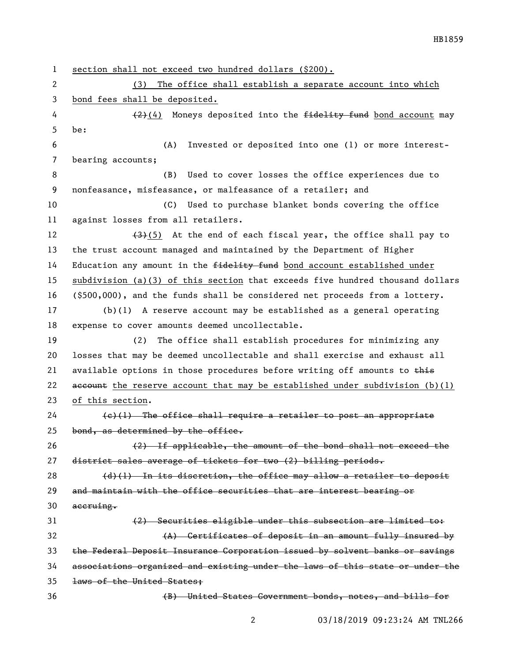section shall not exceed two hundred dollars (\$200). (3) The office shall establish a separate account into which bond fees shall be deposited.  $(2)(4)$  Moneys deposited into the fidelity fund bond account may be: (A) Invested or deposited into one (1) or more interest- bearing accounts; (B) Used to cover losses the office experiences due to nonfeasance, misfeasance, or malfeasance of a retailer; and (C) Used to purchase blanket bonds covering the office against losses from all retailers.  $(3)(5)$  At the end of each fiscal year, the office shall pay to the trust account managed and maintained by the Department of Higher 14 Education any amount in the <del>fidelity fund</del> bond account established under subdivision (a)(3) of this section that exceeds five hundred thousand dollars (\$500,000), and the funds shall be considered net proceeds from a lottery. (b)(1) A reserve account may be established as a general operating expense to cover amounts deemed uncollectable. (2) The office shall establish procedures for minimizing any losses that may be deemed uncollectable and shall exercise and exhaust all 21 available options in those procedures before writing off amounts to  $\frac{1}{2}$ 22 account the reserve account that may be established under subdivision  $(b)(1)$  of this section. (e)(1) The office shall require a retailer to post an appropriate 25 bond, as determined by the office. (2) If applicable, the amount of the bond shall not exceed the district sales average of tickets for two (2) billing periods.  $(d)$  (1) In its discretion, the office may allow a retailer to deposit and maintain with the office securities that are interest bearing or accruing. (2) Securities eligible under this subsection are limited to: (A) Certificates of deposit in an amount fully insured by the Federal Deposit Insurance Corporation issued by solvent banks or savings associations organized and existing under the laws of this state or under the laws of the United States; (B) United States Government bonds, notes, and bills for